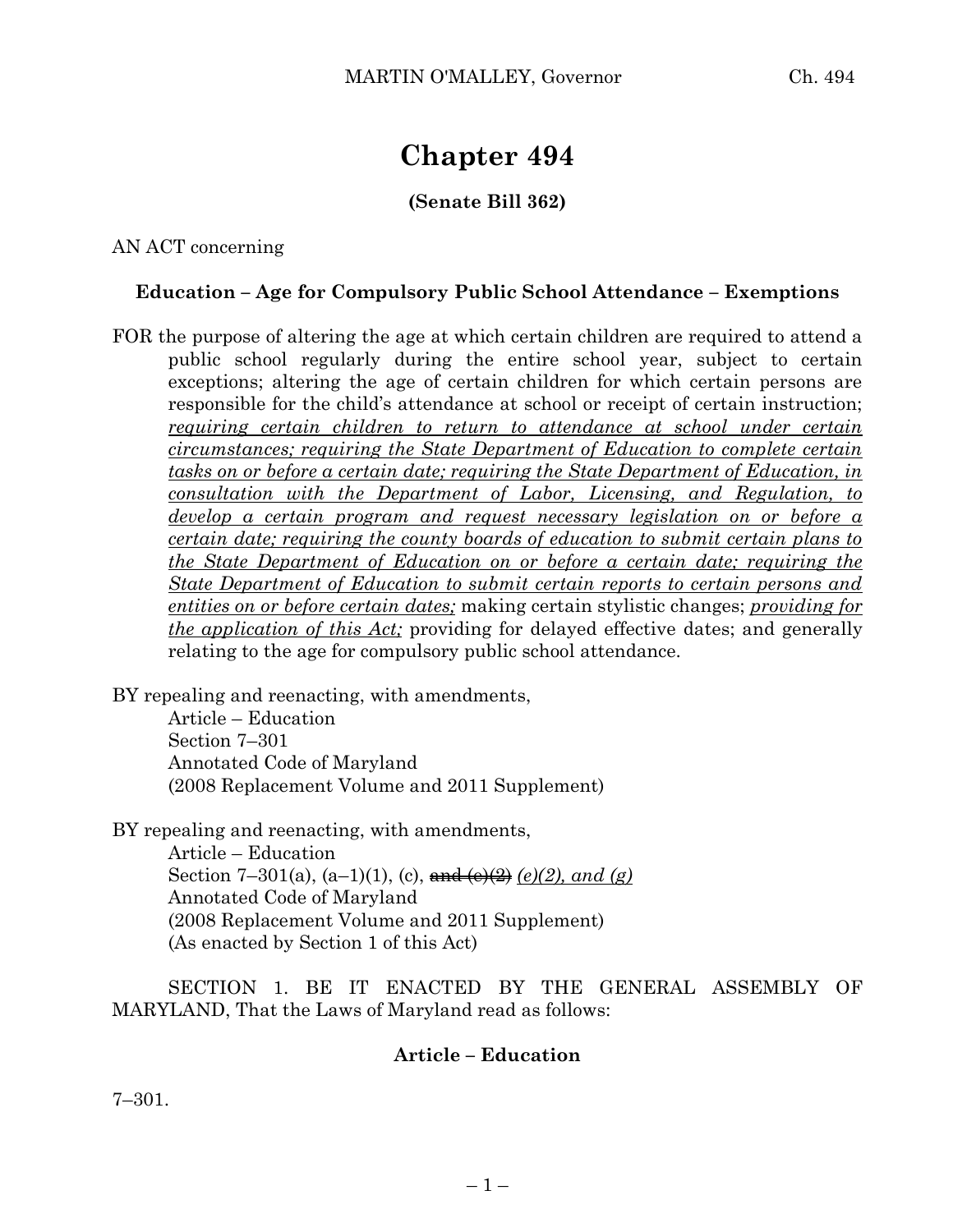# **Chapter 494**

## **(Senate Bill 362)**

AN ACT concerning

### **Education – Age for Compulsory Public School Attendance – Exemptions**

FOR the purpose of altering the age at which certain children are required to attend a public school regularly during the entire school year, subject to certain exceptions; altering the age of certain children for which certain persons are responsible for the child's attendance at school or receipt of certain instruction; *requiring certain children to return to attendance at school under certain circumstances; requiring the State Department of Education to complete certain tasks on or before a certain date; requiring the State Department of Education, in consultation with the Department of Labor, Licensing, and Regulation, to develop a certain program and request necessary legislation on or before a certain date; requiring the county boards of education to submit certain plans to the State Department of Education on or before a certain date; requiring the State Department of Education to submit certain reports to certain persons and entities on or before certain dates;* making certain stylistic changes; *providing for the application of this Act;* providing for delayed effective dates; and generally relating to the age for compulsory public school attendance.

BY repealing and reenacting, with amendments,

Article – Education Section 7–301 Annotated Code of Maryland (2008 Replacement Volume and 2011 Supplement)

BY repealing and reenacting, with amendments,

Article – Education Section 7–301(a),  $(a-1)(1)$ ,  $(c)$ , and  $(e)(2)$ ,  $end (g)$ Annotated Code of Maryland (2008 Replacement Volume and 2011 Supplement) (As enacted by Section 1 of this Act)

SECTION 1. BE IT ENACTED BY THE GENERAL ASSEMBLY OF MARYLAND, That the Laws of Maryland read as follows:

### **Article – Education**

7–301.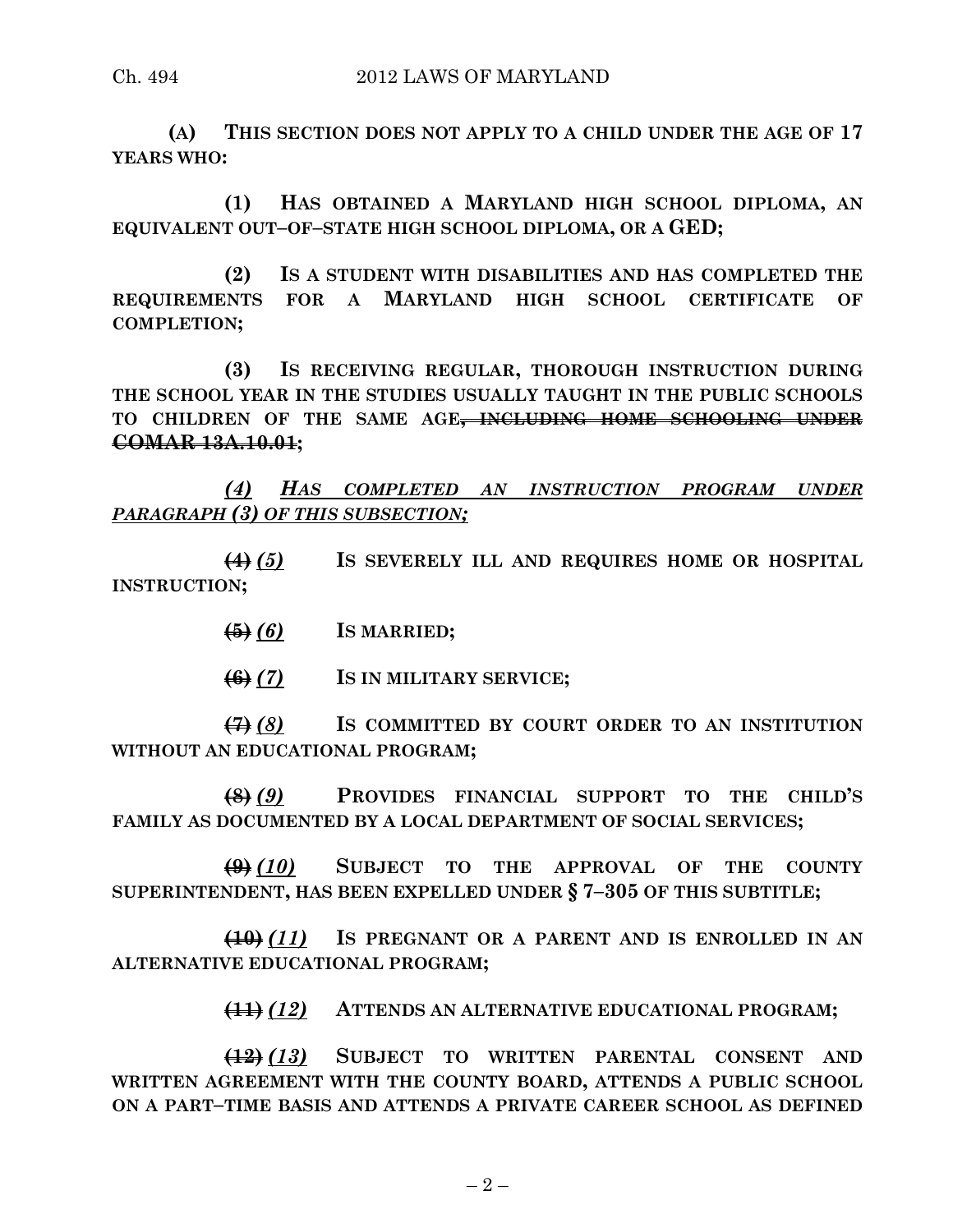**(A) THIS SECTION DOES NOT APPLY TO A CHILD UNDER THE AGE OF 17 YEARS WHO:**

**(1) HAS OBTAINED A MARYLAND HIGH SCHOOL DIPLOMA, AN EQUIVALENT OUT–OF–STATE HIGH SCHOOL DIPLOMA, OR A GED;**

**(2) IS A STUDENT WITH DISABILITIES AND HAS COMPLETED THE REQUIREMENTS FOR A MARYLAND HIGH SCHOOL CERTIFICATE OF COMPLETION;**

**(3) IS RECEIVING REGULAR, THOROUGH INSTRUCTION DURING THE SCHOOL YEAR IN THE STUDIES USUALLY TAUGHT IN THE PUBLIC SCHOOLS TO CHILDREN OF THE SAME AGE, INCLUDING HOME SCHOOLING UNDER COMAR 13A.10.01;**

*(4) HAS COMPLETED AN INSTRUCTION PROGRAM UNDER PARAGRAPH (3) OF THIS SUBSECTION;*

**(4)** *(5)* **IS SEVERELY ILL AND REQUIRES HOME OR HOSPITAL INSTRUCTION;**

**(5)** *(6)* **IS MARRIED;**

**(6)** *(7)* **IS IN MILITARY SERVICE;**

**(7)** *(8)* **IS COMMITTED BY COURT ORDER TO AN INSTITUTION WITHOUT AN EDUCATIONAL PROGRAM;**

**(8)** *(9)* **PROVIDES FINANCIAL SUPPORT TO THE CHILD'S FAMILY AS DOCUMENTED BY A LOCAL DEPARTMENT OF SOCIAL SERVICES;**

**(9)** *(10)* **SUBJECT TO THE APPROVAL OF THE COUNTY SUPERINTENDENT, HAS BEEN EXPELLED UNDER § 7–305 OF THIS SUBTITLE;**

**(10)** *(11)* **IS PREGNANT OR A PARENT AND IS ENROLLED IN AN ALTERNATIVE EDUCATIONAL PROGRAM;**

**(11)** *(12)* **ATTENDS AN ALTERNATIVE EDUCATIONAL PROGRAM;**

**(12)** *(13)* **SUBJECT TO WRITTEN PARENTAL CONSENT AND WRITTEN AGREEMENT WITH THE COUNTY BOARD, ATTENDS A PUBLIC SCHOOL ON A PART–TIME BASIS AND ATTENDS A PRIVATE CAREER SCHOOL AS DEFINED**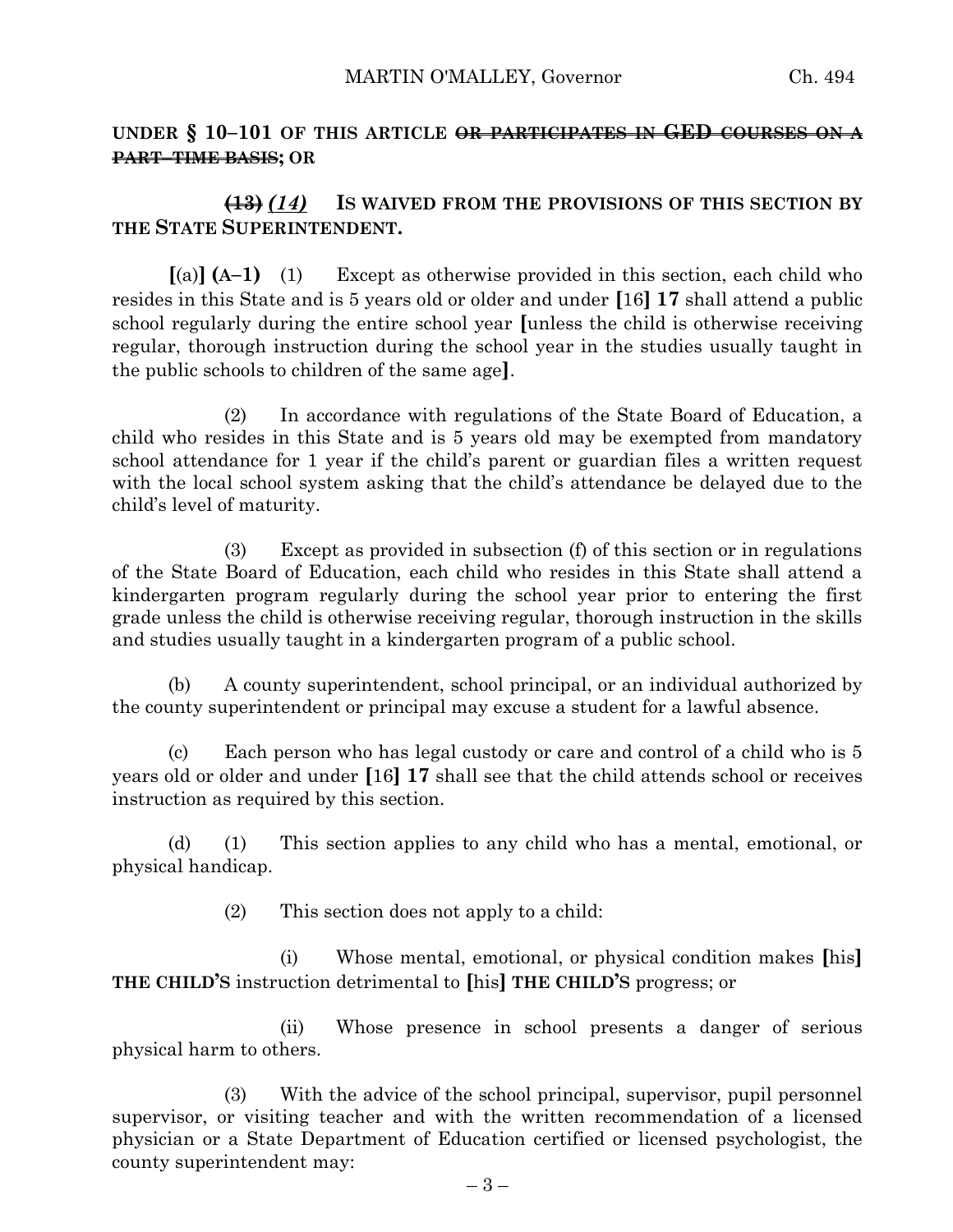### **UNDER § 10–101 OF THIS ARTICLE OR PARTICIPATES IN GED COURSES ON A PART–TIME BASIS; OR**

### **(13)** *(14)* **IS WAIVED FROM THE PROVISIONS OF THIS SECTION BY THE STATE SUPERINTENDENT.**

**[**(a)**] (A–1)** (1) Except as otherwise provided in this section, each child who resides in this State and is 5 years old or older and under **[**16**] 17** shall attend a public school regularly during the entire school year **[**unless the child is otherwise receiving regular, thorough instruction during the school year in the studies usually taught in the public schools to children of the same age**]**.

(2) In accordance with regulations of the State Board of Education, a child who resides in this State and is 5 years old may be exempted from mandatory school attendance for 1 year if the child's parent or guardian files a written request with the local school system asking that the child's attendance be delayed due to the child's level of maturity.

(3) Except as provided in subsection (f) of this section or in regulations of the State Board of Education, each child who resides in this State shall attend a kindergarten program regularly during the school year prior to entering the first grade unless the child is otherwise receiving regular, thorough instruction in the skills and studies usually taught in a kindergarten program of a public school.

(b) A county superintendent, school principal, or an individual authorized by the county superintendent or principal may excuse a student for a lawful absence.

(c) Each person who has legal custody or care and control of a child who is 5 years old or older and under **[**16**] 17** shall see that the child attends school or receives instruction as required by this section.

(d) (1) This section applies to any child who has a mental, emotional, or physical handicap.

(2) This section does not apply to a child:

(i) Whose mental, emotional, or physical condition makes **[**his**] THE CHILD'S** instruction detrimental to **[**his**] THE CHILD'S** progress; or

(ii) Whose presence in school presents a danger of serious physical harm to others.

(3) With the advice of the school principal, supervisor, pupil personnel supervisor, or visiting teacher and with the written recommendation of a licensed physician or a State Department of Education certified or licensed psychologist, the county superintendent may: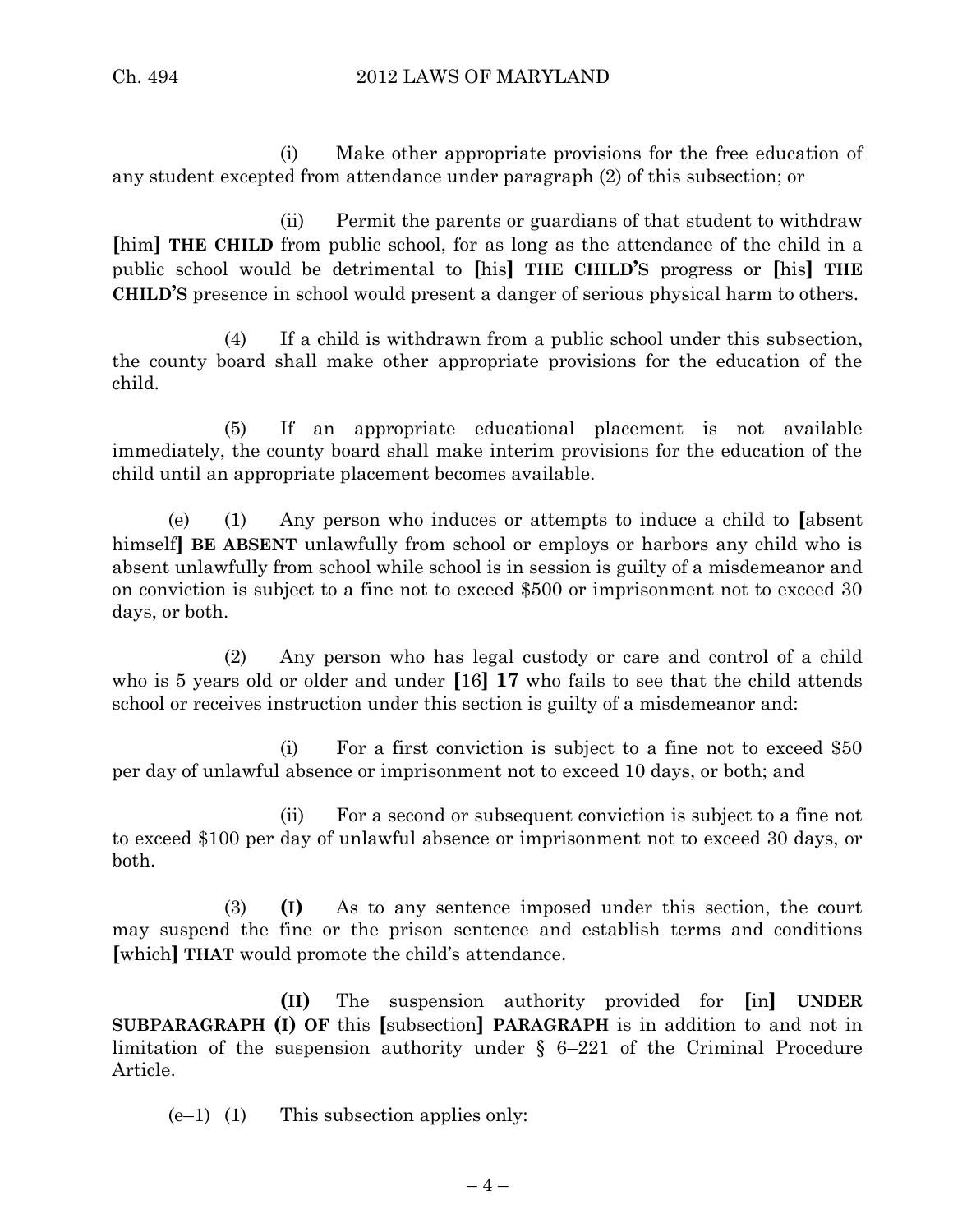(i) Make other appropriate provisions for the free education of any student excepted from attendance under paragraph (2) of this subsection; or

(ii) Permit the parents or guardians of that student to withdraw **[**him**] THE CHILD** from public school, for as long as the attendance of the child in a public school would be detrimental to **[**his**] THE CHILD'S** progress or **[**his**] THE CHILD'S** presence in school would present a danger of serious physical harm to others.

(4) If a child is withdrawn from a public school under this subsection, the county board shall make other appropriate provisions for the education of the child.

(5) If an appropriate educational placement is not available immediately, the county board shall make interim provisions for the education of the child until an appropriate placement becomes available.

(e) (1) Any person who induces or attempts to induce a child to **[**absent himself**] BE ABSENT** unlawfully from school or employs or harbors any child who is absent unlawfully from school while school is in session is guilty of a misdemeanor and on conviction is subject to a fine not to exceed \$500 or imprisonment not to exceed 30 days, or both.

(2) Any person who has legal custody or care and control of a child who is 5 years old or older and under **[**16**] 17** who fails to see that the child attends school or receives instruction under this section is guilty of a misdemeanor and:

(i) For a first conviction is subject to a fine not to exceed \$50 per day of unlawful absence or imprisonment not to exceed 10 days, or both; and

(ii) For a second or subsequent conviction is subject to a fine not to exceed \$100 per day of unlawful absence or imprisonment not to exceed 30 days, or both.

(3) **(I)** As to any sentence imposed under this section, the court may suspend the fine or the prison sentence and establish terms and conditions **[**which**] THAT** would promote the child's attendance.

**(II)** The suspension authority provided for **[**in**] UNDER SUBPARAGRAPH (I) OF** this **[**subsection**] PARAGRAPH** is in addition to and not in limitation of the suspension authority under § 6–221 of the Criminal Procedure Article.

 $(e-1)$  (1) This subsection applies only: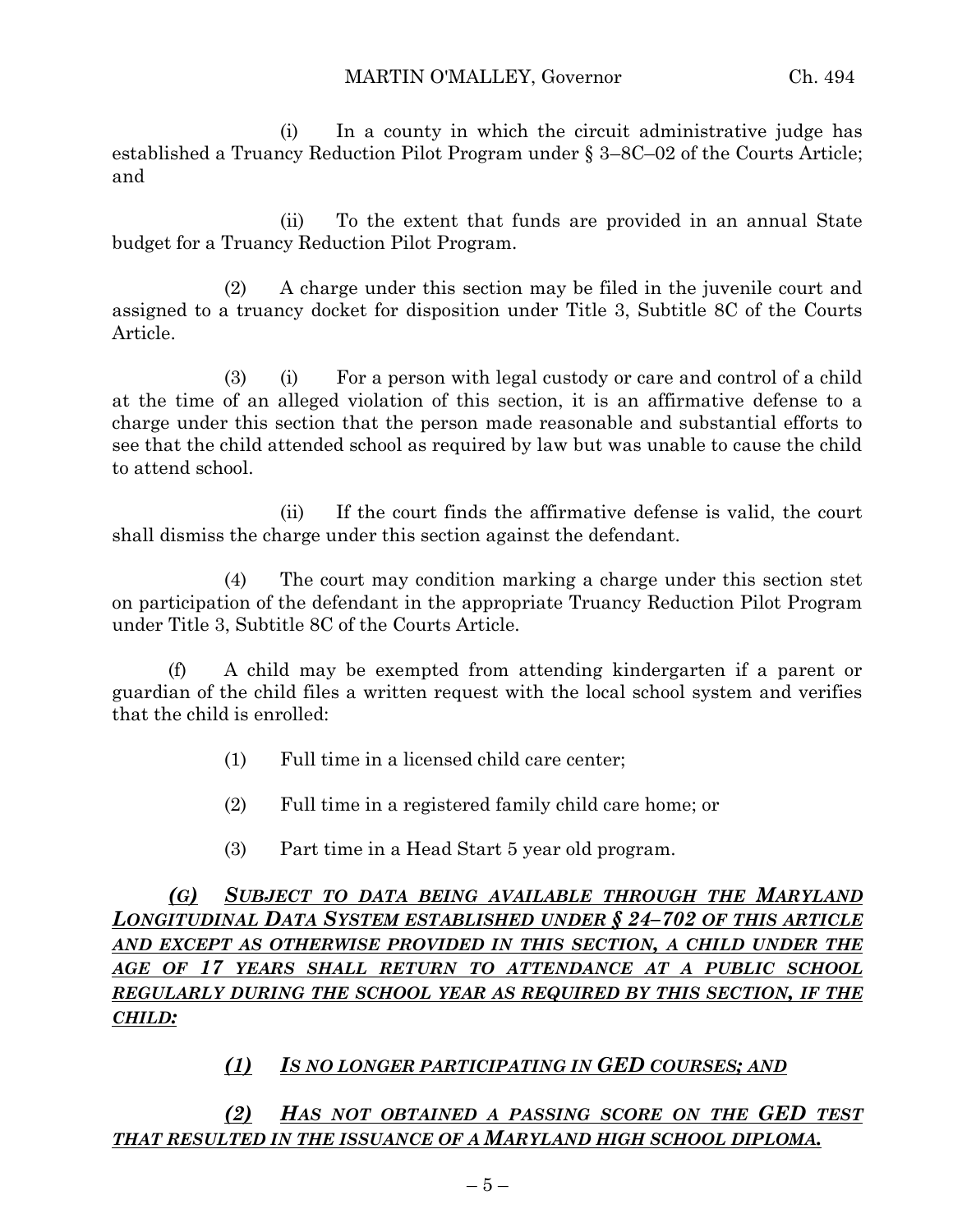(i) In a county in which the circuit administrative judge has established a Truancy Reduction Pilot Program under § 3–8C–02 of the Courts Article; and

(ii) To the extent that funds are provided in an annual State budget for a Truancy Reduction Pilot Program.

(2) A charge under this section may be filed in the juvenile court and assigned to a truancy docket for disposition under Title 3, Subtitle 8C of the Courts Article.

(3) (i) For a person with legal custody or care and control of a child at the time of an alleged violation of this section, it is an affirmative defense to a charge under this section that the person made reasonable and substantial efforts to see that the child attended school as required by law but was unable to cause the child to attend school.

(ii) If the court finds the affirmative defense is valid, the court shall dismiss the charge under this section against the defendant.

(4) The court may condition marking a charge under this section stet on participation of the defendant in the appropriate Truancy Reduction Pilot Program under Title 3, Subtitle 8C of the Courts Article.

(f) A child may be exempted from attending kindergarten if a parent or guardian of the child files a written request with the local school system and verifies that the child is enrolled:

- (1) Full time in a licensed child care center;
- (2) Full time in a registered family child care home; or
- (3) Part time in a Head Start 5 year old program.

*(G) SUBJECT TO DATA BEING AVAILABLE THROUGH THE MARYLAND LONGITUDINAL DATA SYSTEM ESTABLISHED UNDER § 24–702 OF THIS ARTICLE AND EXCEPT AS OTHERWISE PROVIDED IN THIS SECTION, A CHILD UNDER THE AGE OF 17 YEARS SHALL RETURN TO ATTENDANCE AT A PUBLIC SCHOOL REGULARLY DURING THE SCHOOL YEAR AS REQUIRED BY THIS SECTION, IF THE CHILD:*

# *(1) IS NO LONGER PARTICIPATING IN GED COURSES; AND*

*(2) HAS NOT OBTAINED A PASSING SCORE ON THE GED TEST THAT RESULTED IN THE ISSUANCE OF A MARYLAND HIGH SCHOOL DIPLOMA.*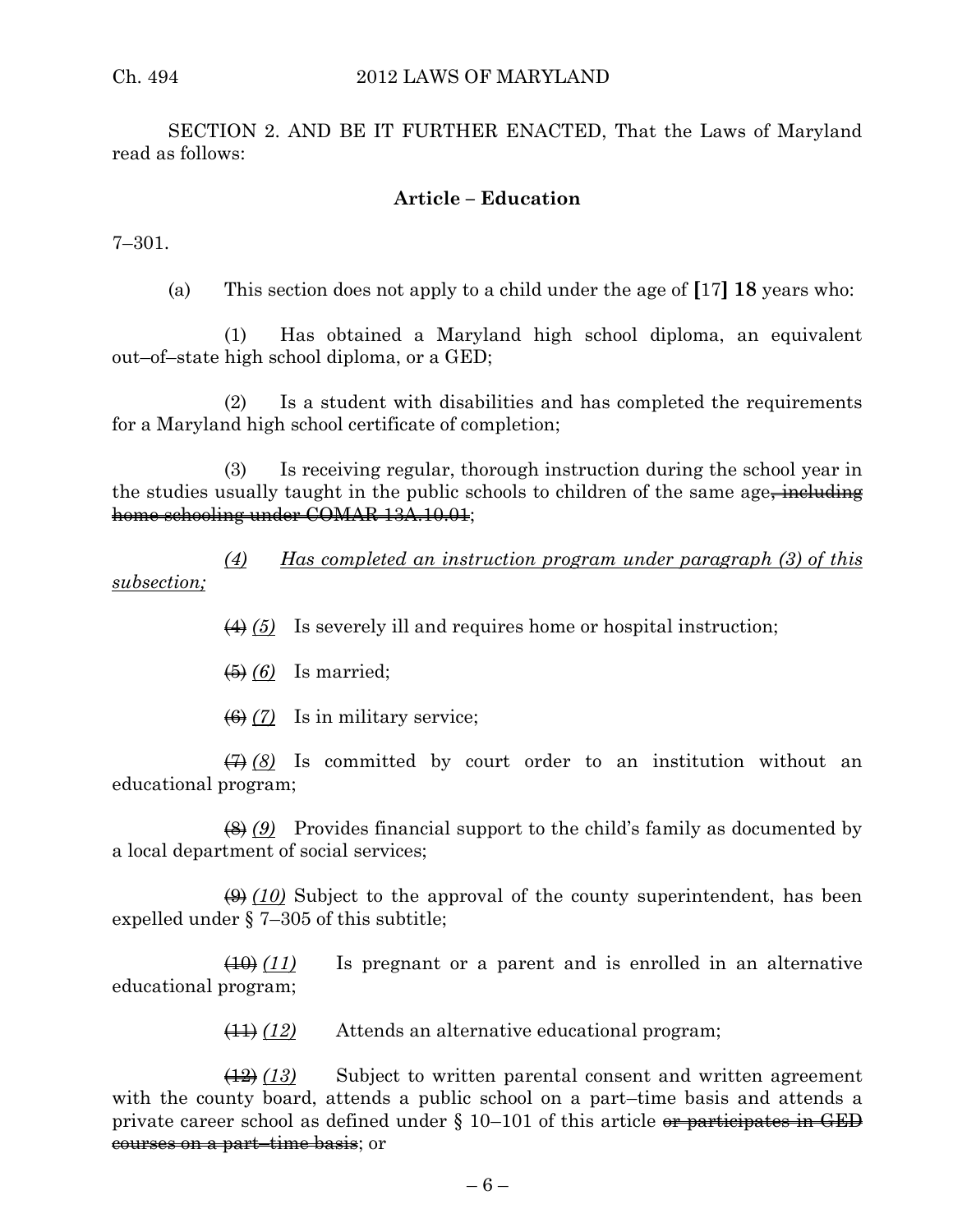SECTION 2. AND BE IT FURTHER ENACTED, That the Laws of Maryland read as follows:

### **Article – Education**

7–301.

(a) This section does not apply to a child under the age of **[**17**] 18** years who:

(1) Has obtained a Maryland high school diploma, an equivalent out–of–state high school diploma, or a GED;

(2) Is a student with disabilities and has completed the requirements for a Maryland high school certificate of completion;

(3) Is receiving regular, thorough instruction during the school year in the studies usually taught in the public schools to children of the same age including home schooling under COMAR 13A.10.01;

*(4) Has completed an instruction program under paragraph (3) of this subsection;*

(4) *(5)* Is severely ill and requires home or hospital instruction;

(5) *(6)* Is married;

(6) *(7)* Is in military service;

(7) *(8)* Is committed by court order to an institution without an educational program;

(8) *(9)* Provides financial support to the child's family as documented by a local department of social services;

(9) *(10)* Subject to the approval of the county superintendent, has been expelled under § 7–305 of this subtitle;

(10) *(11)* Is pregnant or a parent and is enrolled in an alternative educational program;

(11) *(12)* Attends an alternative educational program;

(12) *(13)* Subject to written parental consent and written agreement with the county board, attends a public school on a part–time basis and attends a private career school as defined under  $\S$  10–101 of this article or participates in GED courses on a part–time basis; or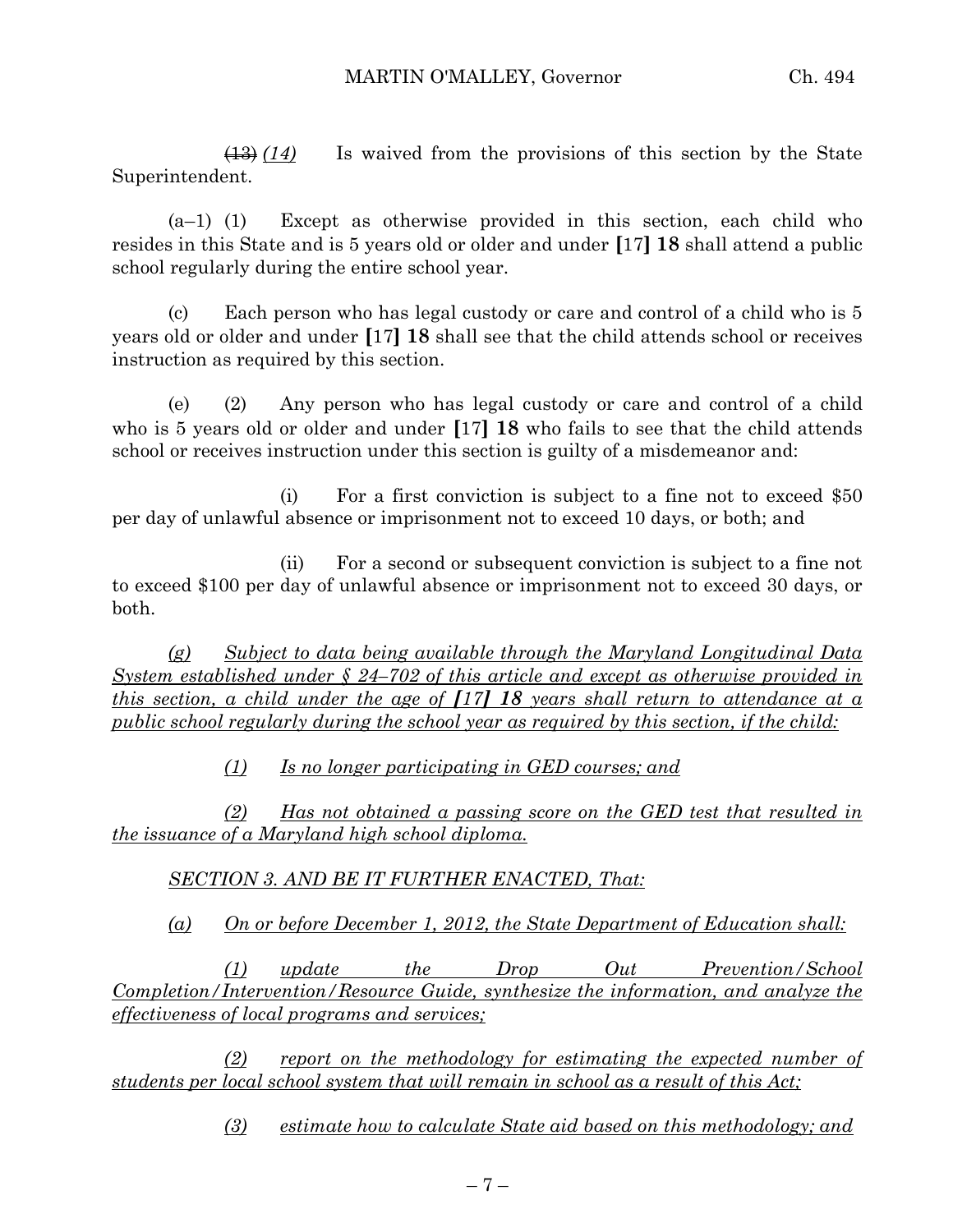(13) *(14)* Is waived from the provisions of this section by the State Superintendent.

(a–1) (1) Except as otherwise provided in this section, each child who resides in this State and is 5 years old or older and under **[**17**] 18** shall attend a public school regularly during the entire school year.

(c) Each person who has legal custody or care and control of a child who is 5 years old or older and under **[**17**] 18** shall see that the child attends school or receives instruction as required by this section.

(e) (2) Any person who has legal custody or care and control of a child who is 5 years old or older and under **[**17**] 18** who fails to see that the child attends school or receives instruction under this section is guilty of a misdemeanor and:

(i) For a first conviction is subject to a fine not to exceed \$50 per day of unlawful absence or imprisonment not to exceed 10 days, or both; and

(ii) For a second or subsequent conviction is subject to a fine not to exceed \$100 per day of unlawful absence or imprisonment not to exceed 30 days, or both.

*(g) Subject to data being available through the Maryland Longitudinal Data System established under § 24–702 of this article and except as otherwise provided in this section, a child under the age of [17] 18 years shall return to attendance at a public school regularly during the school year as required by this section, if the child:*

*(1) Is no longer participating in GED courses; and* 

*(2) Has not obtained a passing score on the GED test that resulted in the issuance of a Maryland high school diploma.*

*SECTION 3. AND BE IT FURTHER ENACTED, That:*

*(a) On or before December 1, 2012, the State Department of Education shall:*

*(1) update the Drop Out Prevention/School Completion/Intervention/Resource Guide, synthesize the information, and analyze the effectiveness of local programs and services;*

*(2) report on the methodology for estimating the expected number of students per local school system that will remain in school as a result of this Act;*

*(3) estimate how to calculate State aid based on this methodology; and*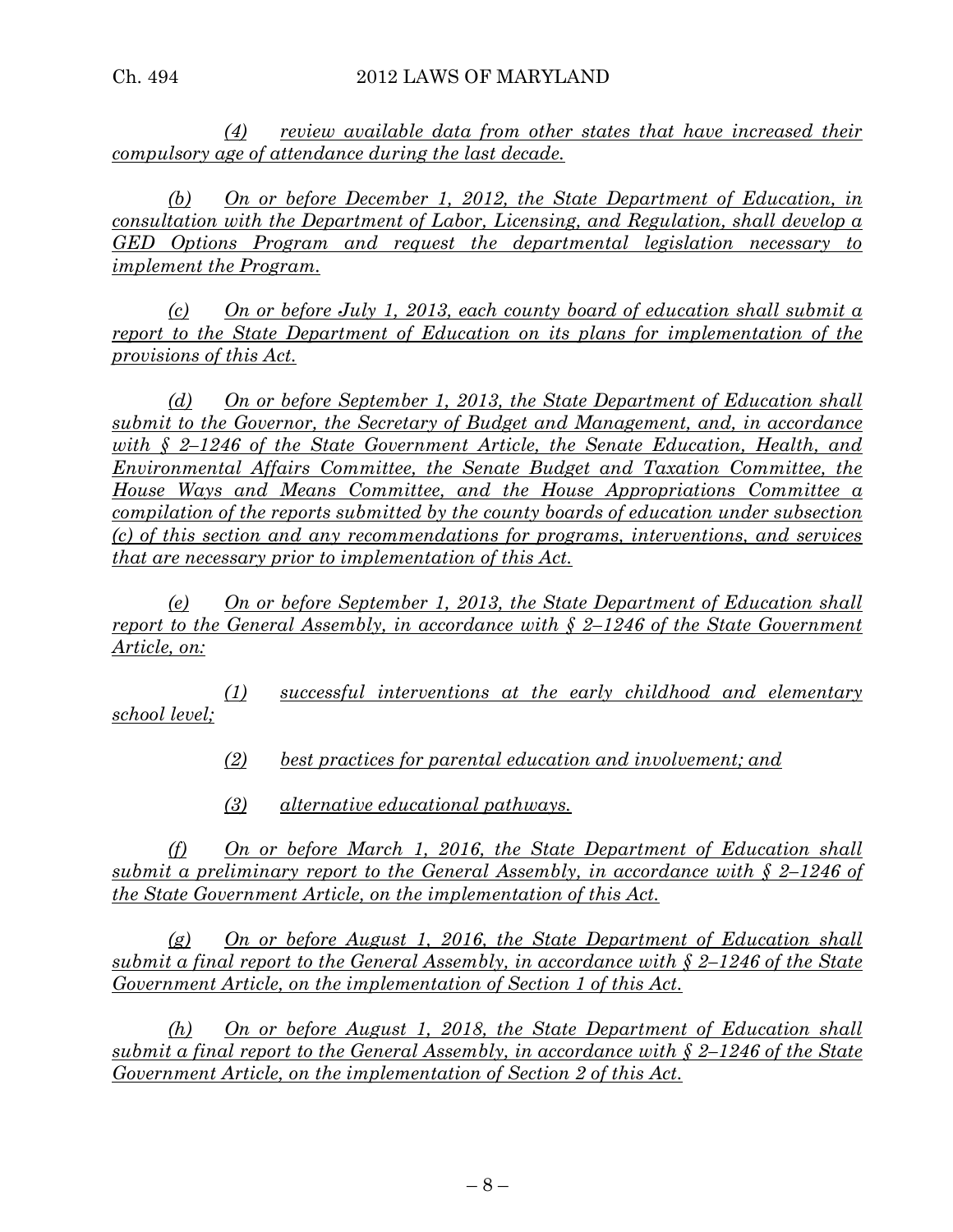*(4) review available data from other states that have increased their compulsory age of attendance during the last decade.*

*(b) On or before December 1, 2012, the State Department of Education, in consultation with the Department of Labor, Licensing, and Regulation, shall develop a GED Options Program and request the departmental legislation necessary to implement the Program.*

*(c) On or before July 1, 2013, each county board of education shall submit a report to the State Department of Education on its plans for implementation of the provisions of this Act.*

*(d) On or before September 1, 2013, the State Department of Education shall submit to the Governor, the Secretary of Budget and Management, and, in accordance with § 2–1246 of the State Government Article, the Senate Education, Health, and Environmental Affairs Committee, the Senate Budget and Taxation Committee, the House Ways and Means Committee, and the House Appropriations Committee a compilation of the reports submitted by the county boards of education under subsection (c) of this section and any recommendations for programs, interventions, and services that are necessary prior to implementation of this Act.*

*(e) On or before September 1, 2013, the State Department of Education shall report to the General Assembly, in accordance with § 2–1246 of the State Government Article, on:*

*(1) successful interventions at the early childhood and elementary school level;*

*(2) best practices for parental education and involvement; and*

*(3) alternative educational pathways.* 

*(f) On or before March 1, 2016, the State Department of Education shall submit a preliminary report to the General Assembly, in accordance with § 2–1246 of the State Government Article, on the implementation of this Act.*

*(g) On or before August 1, 2016, the State Department of Education shall submit a final report to the General Assembly, in accordance with § 2–1246 of the State Government Article, on the implementation of Section 1 of this Act.*

*(h) On or before August 1, 2018, the State Department of Education shall submit a final report to the General Assembly, in accordance with § 2–1246 of the State Government Article, on the implementation of Section 2 of this Act.*